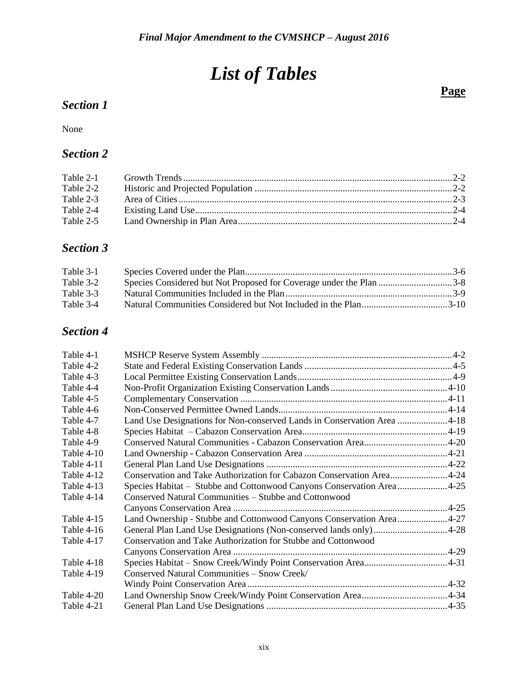## *List of Tables*

#### *Section 1*

None

#### *Section 2*

| Table 2-2 |  |
|-----------|--|
| Table 2-3 |  |
| Table 2-4 |  |
| Table 2-5 |  |
|           |  |

#### *Section 3*

| Table 3-1 |  |
|-----------|--|
| Table 3-2 |  |
| Table 3-3 |  |
| Table 3-4 |  |

### *Section 4*

| Table 4-1  |                                                                         |  |
|------------|-------------------------------------------------------------------------|--|
| Table 4-2  |                                                                         |  |
| Table 4-3  |                                                                         |  |
| Table 4-4  |                                                                         |  |
| Table 4-5  |                                                                         |  |
| Table 4-6  |                                                                         |  |
| Table 4-7  | Land Use Designations for Non-conserved Lands in Conservation Area 4-18 |  |
| Table 4-8  |                                                                         |  |
| Table 4-9  |                                                                         |  |
| Table 4-10 |                                                                         |  |
| Table 4-11 |                                                                         |  |
| Table 4-12 | Conservation and Take Authorization for Cabazon Conservation Area4-24   |  |
| Table 4-13 | Species Habitat – Stubbe and Cottonwood Canyons Conservation Area4-25   |  |
| Table 4-14 | Conserved Natural Communities - Stubbe and Cottonwood                   |  |
|            |                                                                         |  |
| Table 4-15 | Land Ownership - Stubbe and Cottonwood Canyons Conservation Area4-27    |  |
| Table 4-16 |                                                                         |  |
| Table 4-17 | Conservation and Take Authorization for Stubbe and Cottonwood           |  |
|            |                                                                         |  |
| Table 4-18 |                                                                         |  |
| Table 4-19 | Conserved Natural Communities - Snow Creek/                             |  |
|            |                                                                         |  |
| Table 4-20 |                                                                         |  |
| Table 4-21 |                                                                         |  |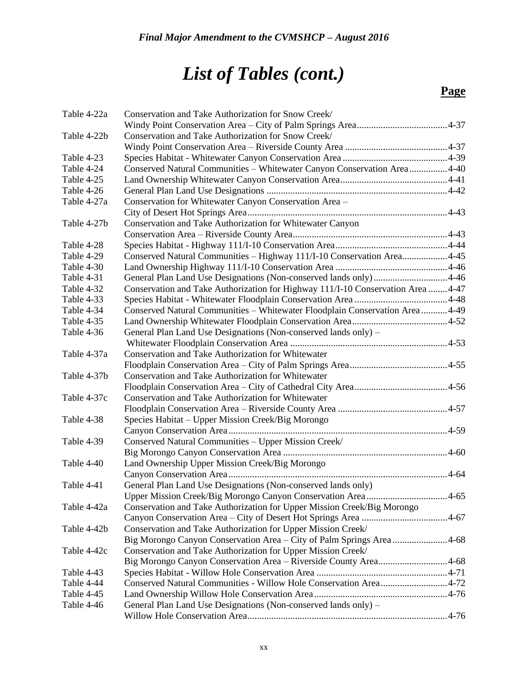| Table 4-22a | Conservation and Take Authorization for Snow Creek/                             |  |
|-------------|---------------------------------------------------------------------------------|--|
|             |                                                                                 |  |
| Table 4-22b | Conservation and Take Authorization for Snow Creek/                             |  |
|             |                                                                                 |  |
| Table 4-23  |                                                                                 |  |
| Table 4-24  | Conserved Natural Communities - Whitewater Canyon Conservation Area4-40         |  |
| Table 4-25  |                                                                                 |  |
| Table 4-26  |                                                                                 |  |
| Table 4-27a | Conservation for Whitewater Canyon Conservation Area -                          |  |
|             |                                                                                 |  |
| Table 4-27b | Conservation and Take Authorization for Whitewater Canyon                       |  |
|             |                                                                                 |  |
| Table 4-28  |                                                                                 |  |
| Table 4-29  | Conserved Natural Communities - Highway 111/I-10 Conservation Area4-45          |  |
| Table 4-30  |                                                                                 |  |
| Table 4-31  | General Plan Land Use Designations (Non-conserved lands only)4-46               |  |
| Table 4-32  | Conservation and Take Authorization for Highway 111/1-10 Conservation Area 4-47 |  |
| Table 4-33  |                                                                                 |  |
| Table 4-34  | Conserved Natural Communities - Whitewater Floodplain Conservation Area  4-49   |  |
| Table 4-35  |                                                                                 |  |
| Table 4-36  | General Plan Land Use Designations (Non-conserved lands only) -                 |  |
|             |                                                                                 |  |
| Table 4-37a | Conservation and Take Authorization for Whitewater                              |  |
|             |                                                                                 |  |
| Table 4-37b | Conservation and Take Authorization for Whitewater                              |  |
|             |                                                                                 |  |
| Table 4-37c | Conservation and Take Authorization for Whitewater                              |  |
|             |                                                                                 |  |
| Table 4-38  | Species Habitat – Upper Mission Creek/Big Morongo                               |  |
|             |                                                                                 |  |
| Table 4-39  | Conserved Natural Communities - Upper Mission Creek/                            |  |
|             |                                                                                 |  |
| Table 4-40  | Land Ownership Upper Mission Creek/Big Morongo                                  |  |
|             |                                                                                 |  |
| Table 4-41  | General Plan Land Use Designations (Non-conserved lands only)                   |  |
|             | Upper Mission Creek/Big Morongo Canyon Conservation Area4-65                    |  |
| Table 4-42a | Conservation and Take Authorization for Upper Mission Creek/Big Morongo         |  |
|             |                                                                                 |  |
| Table 4-42b | Conservation and Take Authorization for Upper Mission Creek/                    |  |
|             | Big Morongo Canyon Conservation Area - City of Palm Springs Area4-68            |  |
| Table 4-42c | Conservation and Take Authorization for Upper Mission Creek/                    |  |
|             | Big Morongo Canyon Conservation Area - Riverside County Area4-68                |  |
| Table 4-43  |                                                                                 |  |
| Table 4-44  | Conserved Natural Communities - Willow Hole Conservation Area4-72               |  |
| Table 4-45  |                                                                                 |  |
| Table 4-46  | General Plan Land Use Designations (Non-conserved lands only) -                 |  |
|             |                                                                                 |  |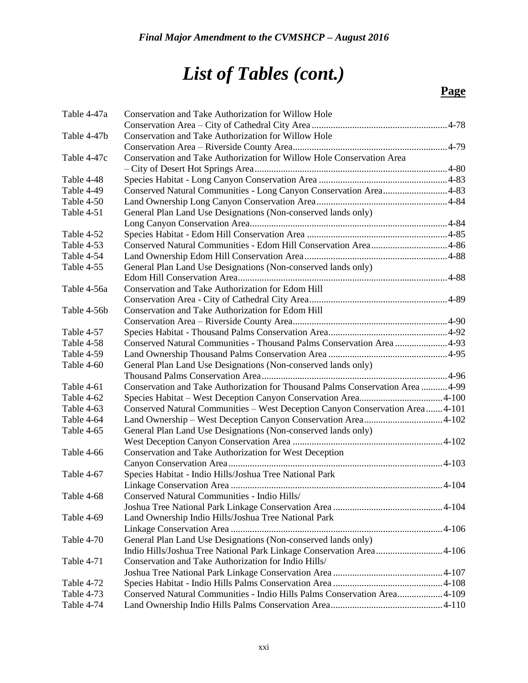| Table 4-47a | Conservation and Take Authorization for Willow Hole                           |  |
|-------------|-------------------------------------------------------------------------------|--|
|             |                                                                               |  |
| Table 4-47b | Conservation and Take Authorization for Willow Hole                           |  |
|             |                                                                               |  |
| Table 4-47c | Conservation and Take Authorization for Willow Hole Conservation Area         |  |
|             |                                                                               |  |
| Table 4-48  |                                                                               |  |
| Table 4-49  | Conserved Natural Communities - Long Canyon Conservation Area4-83             |  |
| Table 4-50  |                                                                               |  |
| Table 4-51  | General Plan Land Use Designations (Non-conserved lands only)                 |  |
|             |                                                                               |  |
| Table 4-52  |                                                                               |  |
| Table 4-53  | Conserved Natural Communities - Edom Hill Conservation Area4-86               |  |
| Table 4-54  |                                                                               |  |
| Table 4-55  | General Plan Land Use Designations (Non-conserved lands only)                 |  |
|             |                                                                               |  |
| Table 4-56a | Conservation and Take Authorization for Edom Hill                             |  |
|             |                                                                               |  |
| Table 4-56b | Conservation and Take Authorization for Edom Hill                             |  |
|             |                                                                               |  |
| Table 4-57  |                                                                               |  |
| Table 4-58  | Conserved Natural Communities - Thousand Palms Conservation Area 4-93         |  |
| Table 4-59  |                                                                               |  |
| Table 4-60  | General Plan Land Use Designations (Non-conserved lands only)                 |  |
|             |                                                                               |  |
| Table 4-61  | Conservation and Take Authorization for Thousand Palms Conservation Area 4-99 |  |
| Table 4-62  |                                                                               |  |
| Table 4-63  | Conserved Natural Communities - West Deception Canyon Conservation Area4-101  |  |
| Table 4-64  |                                                                               |  |
| Table 4-65  | General Plan Land Use Designations (Non-conserved lands only)                 |  |
|             |                                                                               |  |
| Table 4-66  | Conservation and Take Authorization for West Deception                        |  |
|             |                                                                               |  |
| Table 4-67  | Species Habitat - Indio Hills/Joshua Tree National Park                       |  |
|             |                                                                               |  |
| Table 4-68  | Conserved Natural Communities - Indio Hills/                                  |  |
|             |                                                                               |  |
| Table 4-69  | Land Ownership Indio Hills/Joshua Tree National Park                          |  |
|             |                                                                               |  |
| Table 4-70  | General Plan Land Use Designations (Non-conserved lands only)                 |  |
|             | Indio Hills/Joshua Tree National Park Linkage Conservation Area4-106          |  |
| Table 4-71  | Conservation and Take Authorization for Indio Hills/                          |  |
|             |                                                                               |  |
| Table 4-72  |                                                                               |  |
| Table 4-73  | Conserved Natural Communities - Indio Hills Palms Conservation Area4-109      |  |
| Table 4-74  |                                                                               |  |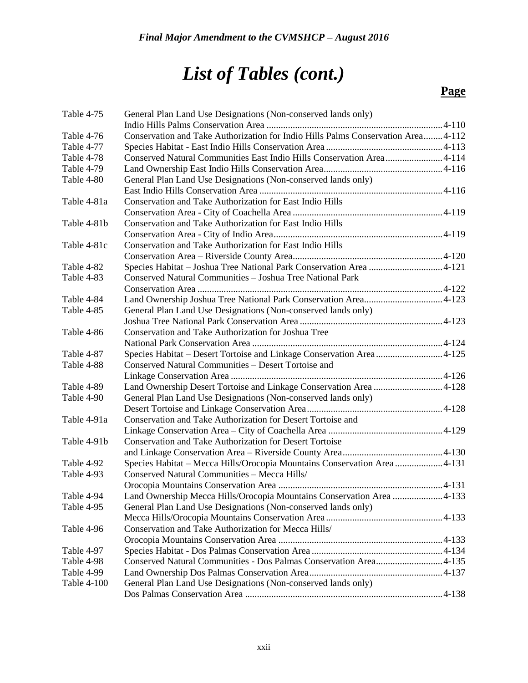| Table 4-75         | General Plan Land Use Designations (Non-conserved lands only)                    |  |
|--------------------|----------------------------------------------------------------------------------|--|
|                    |                                                                                  |  |
| Table 4-76         | Conservation and Take Authorization for Indio Hills Palms Conservation Area4-112 |  |
| Table 4-77         |                                                                                  |  |
| Table 4-78         | Conserved Natural Communities East Indio Hills Conservation Area4-114            |  |
| Table 4-79         |                                                                                  |  |
| Table 4-80         | General Plan Land Use Designations (Non-conserved lands only)                    |  |
|                    |                                                                                  |  |
| Table 4-81a        | <b>Conservation and Take Authorization for East Indio Hills</b>                  |  |
|                    |                                                                                  |  |
| Table 4-81b        | Conservation and Take Authorization for East Indio Hills                         |  |
|                    |                                                                                  |  |
| Table 4-81c        | Conservation and Take Authorization for East Indio Hills                         |  |
|                    |                                                                                  |  |
| Table 4-82         | Species Habitat - Joshua Tree National Park Conservation Area 4-121              |  |
| Table 4-83         | Conserved Natural Communities - Joshua Tree National Park                        |  |
|                    |                                                                                  |  |
| Table 4-84         |                                                                                  |  |
| Table 4-85         | General Plan Land Use Designations (Non-conserved lands only)                    |  |
|                    |                                                                                  |  |
| Table 4-86         | Conservation and Take Authorization for Joshua Tree                              |  |
|                    |                                                                                  |  |
| Table 4-87         | Species Habitat - Desert Tortoise and Linkage Conservation Area4-125             |  |
| Table 4-88         | Conserved Natural Communities - Desert Tortoise and                              |  |
|                    |                                                                                  |  |
| Table 4-89         | Land Ownership Desert Tortoise and Linkage Conservation Area 4-128               |  |
| Table 4-90         | General Plan Land Use Designations (Non-conserved lands only)                    |  |
|                    |                                                                                  |  |
| Table 4-91a        | Conservation and Take Authorization for Desert Tortoise and                      |  |
|                    |                                                                                  |  |
| Table 4-91b        | <b>Conservation and Take Authorization for Desert Tortoise</b>                   |  |
|                    |                                                                                  |  |
| Table 4-92         | Species Habitat - Mecca Hills/Orocopia Mountains Conservation Area  4-131        |  |
| Table 4-93         | Conserved Natural Communities - Mecca Hills/                                     |  |
|                    |                                                                                  |  |
| Table 4-94         | Land Ownership Mecca Hills/Orocopia Mountains Conservation Area 4-133            |  |
| Table 4-95         | General Plan Land Use Designations (Non-conserved lands only)                    |  |
|                    |                                                                                  |  |
| Table 4-96         | Conservation and Take Authorization for Mecca Hills/                             |  |
|                    |                                                                                  |  |
| Table 4-97         |                                                                                  |  |
| Table 4-98         | Conserved Natural Communities - Dos Palmas Conservation Area 4-135               |  |
| Table 4-99         |                                                                                  |  |
| <b>Table 4-100</b> | General Plan Land Use Designations (Non-conserved lands only)                    |  |
|                    |                                                                                  |  |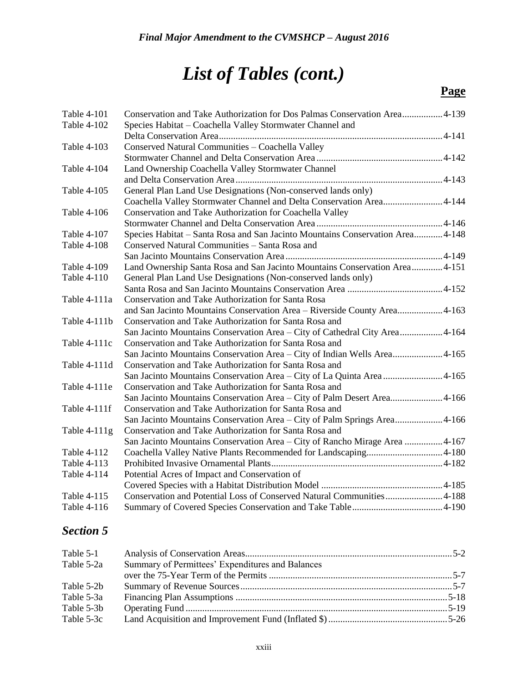#### **Page**

| Table 4-101    | Conservation and Take Authorization for Dos Palmas Conservation Area4-139      |  |
|----------------|--------------------------------------------------------------------------------|--|
| Table 4-102    | Species Habitat - Coachella Valley Stormwater Channel and                      |  |
|                |                                                                                |  |
| Table 4-103    | Conserved Natural Communities - Coachella Valley                               |  |
|                |                                                                                |  |
| Table 4-104    | Land Ownership Coachella Valley Stormwater Channel                             |  |
|                |                                                                                |  |
| Table 4-105    | General Plan Land Use Designations (Non-conserved lands only)                  |  |
|                | Coachella Valley Stormwater Channel and Delta Conservation Area4-144           |  |
| Table 4-106    | Conservation and Take Authorization for Coachella Valley                       |  |
|                |                                                                                |  |
| Table 4-107    | Species Habitat - Santa Rosa and San Jacinto Mountains Conservation Area 4-148 |  |
| Table 4-108    | Conserved Natural Communities - Santa Rosa and                                 |  |
|                |                                                                                |  |
| Table 4-109    | Land Ownership Santa Rosa and San Jacinto Mountains Conservation Area 4-151    |  |
| Table 4-110    | General Plan Land Use Designations (Non-conserved lands only)                  |  |
|                |                                                                                |  |
| Table 4-111a   | Conservation and Take Authorization for Santa Rosa                             |  |
|                | and San Jacinto Mountains Conservation Area - Riverside County Area 4-163      |  |
| Table 4-111b   | Conservation and Take Authorization for Santa Rosa and                         |  |
|                | San Jacinto Mountains Conservation Area - City of Cathedral City Area 4-164    |  |
| Table 4-111c   | Conservation and Take Authorization for Santa Rosa and                         |  |
|                | San Jacinto Mountains Conservation Area - City of Indian Wells Area 4-165      |  |
| Table 4-111d   | Conservation and Take Authorization for Santa Rosa and                         |  |
|                | San Jacinto Mountains Conservation Area - City of La Quinta Area  4-165        |  |
| Table 4-111e   | Conservation and Take Authorization for Santa Rosa and                         |  |
|                | San Jacinto Mountains Conservation Area - City of Palm Desert Area 4-166       |  |
| Table 4-111f   | Conservation and Take Authorization for Santa Rosa and                         |  |
|                | San Jacinto Mountains Conservation Area – City of Palm Springs Area4-166       |  |
| Table $4-111g$ | Conservation and Take Authorization for Santa Rosa and                         |  |
|                | San Jacinto Mountains Conservation Area - City of Rancho Mirage Area  4-167    |  |
| Table 4-112    | Coachella Valley Native Plants Recommended for Landscaping4-180                |  |
| Table 4-113    |                                                                                |  |
| Table 4-114    | Potential Acres of Impact and Conservation of                                  |  |
|                |                                                                                |  |
| Table 4-115    | Conservation and Potential Loss of Conserved Natural Communities 4-188         |  |
| Table 4-116    |                                                                                |  |

### *Section 5*

| Table 5-1  |                                                  |  |
|------------|--------------------------------------------------|--|
| Table 5-2a | Summary of Permittees' Expenditures and Balances |  |
|            |                                                  |  |
| Table 5-2b |                                                  |  |
| Table 5-3a |                                                  |  |
| Table 5-3b |                                                  |  |
| Table 5-3c |                                                  |  |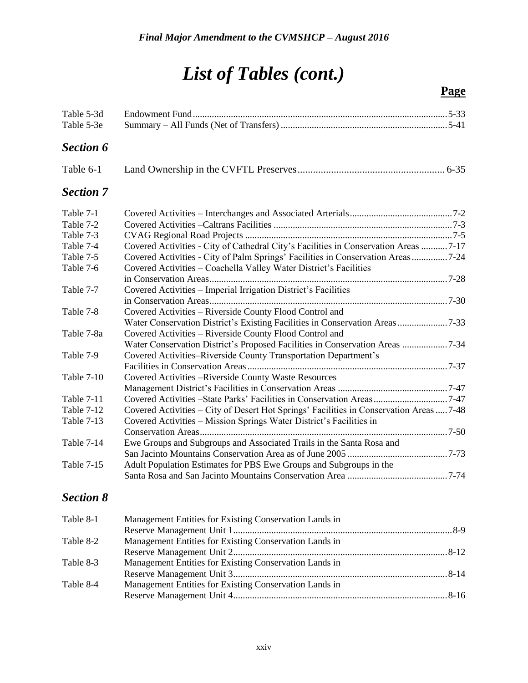| Table 5-3d<br>Table 5-3e |                                                                                         |  |
|--------------------------|-----------------------------------------------------------------------------------------|--|
| <b>Section 6</b>         |                                                                                         |  |
| Table 6-1                |                                                                                         |  |
| <b>Section 7</b>         |                                                                                         |  |
| Table 7-1                |                                                                                         |  |
| Table 7-2                |                                                                                         |  |
| Table 7-3                |                                                                                         |  |
| Table 7-4                | Covered Activities - City of Cathedral City's Facilities in Conservation Areas 7-17     |  |
| Table 7-5                | Covered Activities - City of Palm Springs' Facilities in Conservation Areas7-24         |  |
| Table 7-6                | Covered Activities - Coachella Valley Water District's Facilities                       |  |
|                          |                                                                                         |  |
| Table 7-7                | Covered Activities - Imperial Irrigation District's Facilities                          |  |
|                          |                                                                                         |  |
| Table 7-8                | Covered Activities - Riverside County Flood Control and                                 |  |
|                          |                                                                                         |  |
| Table 7-8a               | Covered Activities - Riverside County Flood Control and                                 |  |
|                          | Water Conservation District's Proposed Facilities in Conservation Areas 7-34            |  |
| Table 7-9                | Covered Activities-Riverside County Transportation Department's                         |  |
|                          |                                                                                         |  |
| Table 7-10               | Covered Activities – Riverside County Waste Resources                                   |  |
|                          |                                                                                         |  |
| <b>Table 7-11</b>        | Covered Activities -State Parks' Facilities in Conservation Areas7-47                   |  |
| Table 7-12               | Covered Activities - City of Desert Hot Springs' Facilities in Conservation Areas  7-48 |  |
| <b>Table 7-13</b>        | Covered Activities - Mission Springs Water District's Facilities in                     |  |
|                          |                                                                                         |  |
| Table 7-14               | Ewe Groups and Subgroups and Associated Trails in the Santa Rosa and                    |  |
|                          |                                                                                         |  |
| Table 7-15               | Adult Population Estimates for PBS Ewe Groups and Subgroups in the                      |  |
|                          |                                                                                         |  |
| <b>Section 8</b>         |                                                                                         |  |
| Table 8-1                | Management Entities for Existing Conservation Lands in                                  |  |

| Table 8-1 | Management Entities for Existing Conservation Lands in |  |
|-----------|--------------------------------------------------------|--|
|           |                                                        |  |
| Table 8-2 | Management Entities for Existing Conservation Lands in |  |
|           |                                                        |  |
| Table 8-3 | Management Entities for Existing Conservation Lands in |  |
|           |                                                        |  |
| Table 8-4 | Management Entities for Existing Conservation Lands in |  |
|           |                                                        |  |
|           |                                                        |  |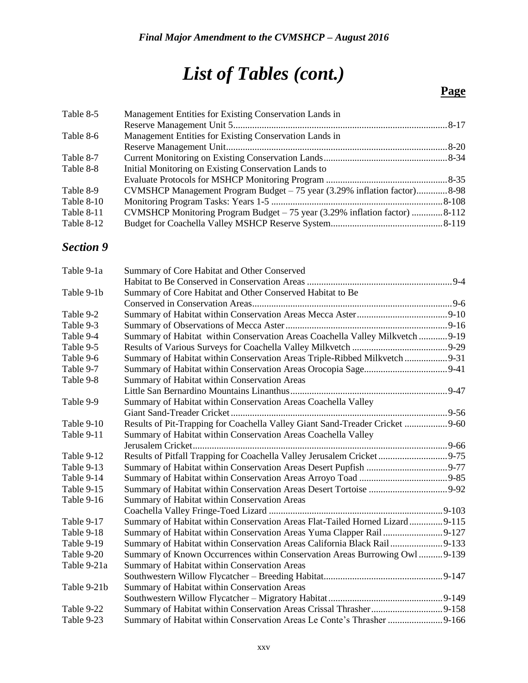### **Page**

| Table 8-5  | Management Entities for Existing Conservation Lands in                     |  |
|------------|----------------------------------------------------------------------------|--|
|            |                                                                            |  |
| Table 8-6  | Management Entities for Existing Conservation Lands in                     |  |
|            |                                                                            |  |
| Table 8-7  |                                                                            |  |
| Table 8-8  | Initial Monitoring on Existing Conservation Lands to                       |  |
|            |                                                                            |  |
| Table 8-9  | CVMSHCP Management Program Budget – 75 year (3.29% inflation factor)8-98   |  |
| Table 8-10 |                                                                            |  |
| Table 8-11 | CVMSHCP Monitoring Program Budget - 75 year (3.29% inflation factor) 8-112 |  |
| Table 8-12 |                                                                            |  |

#### *Section 9*

| Table 9-1a  | Summary of Core Habitat and Other Conserved                                   |  |
|-------------|-------------------------------------------------------------------------------|--|
|             |                                                                               |  |
| Table 9-1b  | Summary of Core Habitat and Other Conserved Habitat to Be                     |  |
|             |                                                                               |  |
| Table 9-2   |                                                                               |  |
| Table 9-3   |                                                                               |  |
| Table 9-4   | Summary of Habitat within Conservation Areas Coachella Valley Milkvetch  9-19 |  |
| Table 9-5   |                                                                               |  |
| Table 9-6   | Summary of Habitat within Conservation Areas Triple-Ribbed Milkvetch  9-31    |  |
| Table 9-7   |                                                                               |  |
| Table 9-8   | Summary of Habitat within Conservation Areas                                  |  |
|             |                                                                               |  |
| Table 9-9   | Summary of Habitat within Conservation Areas Coachella Valley                 |  |
|             |                                                                               |  |
| Table 9-10  | Results of Pit-Trapping for Coachella Valley Giant Sand-Treader Cricket  9-60 |  |
| Table 9-11  | Summary of Habitat within Conservation Areas Coachella Valley                 |  |
|             |                                                                               |  |
| Table 9-12  | Results of Pitfall Trapping for Coachella Valley Jerusalem Cricket9-75        |  |
| Table 9-13  |                                                                               |  |
| Table 9-14  |                                                                               |  |
| Table 9-15  |                                                                               |  |
| Table 9-16  | Summary of Habitat within Conservation Areas                                  |  |
|             |                                                                               |  |
| Table 9-17  | Summary of Habitat within Conservation Areas Flat-Tailed Horned Lizard 9-115  |  |
| Table 9-18  |                                                                               |  |
| Table 9-19  | Summary of Habitat within Conservation Areas California Black Rail9-133       |  |
| Table 9-20  | Summary of Known Occurrences within Conservation Areas Burrowing Owl  9-139   |  |
| Table 9-21a | Summary of Habitat within Conservation Areas                                  |  |
|             |                                                                               |  |
| Table 9-21b | Summary of Habitat within Conservation Areas                                  |  |
|             |                                                                               |  |
| Table 9-22  |                                                                               |  |
| Table 9-23  | Summary of Habitat within Conservation Areas Le Conte's Thrasher  9-166       |  |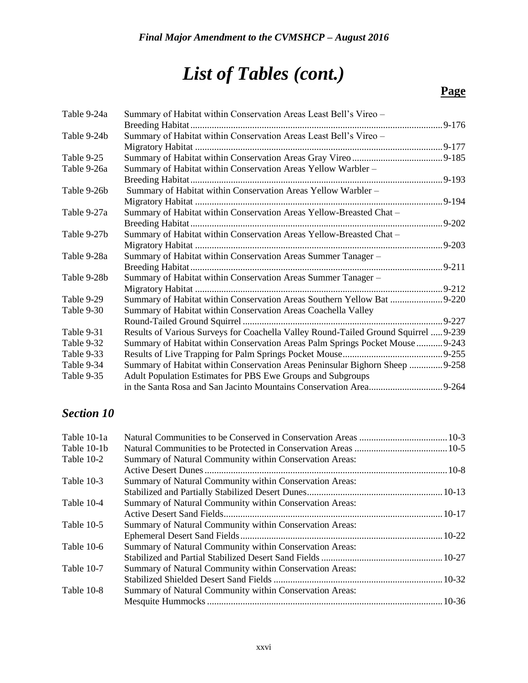### **Page**

| Table 9-24a | Summary of Habitat within Conservation Areas Least Bell's Vireo -                   |            |
|-------------|-------------------------------------------------------------------------------------|------------|
|             |                                                                                     |            |
| Table 9-24b | Summary of Habitat within Conservation Areas Least Bell's Vireo -                   |            |
|             |                                                                                     |            |
| Table 9-25  |                                                                                     |            |
| Table 9-26a | Summary of Habitat within Conservation Areas Yellow Warbler -                       |            |
|             |                                                                                     |            |
| Table 9-26b | Summary of Habitat within Conservation Areas Yellow Warbler -                       |            |
|             |                                                                                     | $.9 - 194$ |
| Table 9-27a | Summary of Habitat within Conservation Areas Yellow-Breasted Chat -                 |            |
|             |                                                                                     |            |
| Table 9-27b | Summary of Habitat within Conservation Areas Yellow-Breasted Chat -                 |            |
|             |                                                                                     |            |
| Table 9-28a | Summary of Habitat within Conservation Areas Summer Tanager -                       |            |
|             |                                                                                     |            |
| Table 9-28b | Summary of Habitat within Conservation Areas Summer Tanager -                       |            |
|             |                                                                                     |            |
| Table 9-29  | Summary of Habitat within Conservation Areas Southern Yellow Bat 9-220              |            |
| Table 9-30  | Summary of Habitat within Conservation Areas Coachella Valley                       |            |
|             |                                                                                     |            |
| Table 9-31  | Results of Various Surveys for Coachella Valley Round-Tailed Ground Squirrel  9-239 |            |
| Table 9-32  | Summary of Habitat within Conservation Areas Palm Springs Pocket Mouse  9-243       |            |
| Table 9-33  |                                                                                     |            |
| Table 9-34  | Summary of Habitat within Conservation Areas Peninsular Bighorn Sheep  9-258        |            |
| Table 9-35  | Adult Population Estimates for PBS Ewe Groups and Subgroups                         |            |
|             |                                                                                     |            |

#### *Section 10*

| Table 10-1a |                                                         |  |
|-------------|---------------------------------------------------------|--|
| Table 10-1b |                                                         |  |
| Table 10-2  | Summary of Natural Community within Conservation Areas: |  |
|             |                                                         |  |
| Table 10-3  | Summary of Natural Community within Conservation Areas: |  |
|             |                                                         |  |
| Table 10-4  | Summary of Natural Community within Conservation Areas: |  |
|             |                                                         |  |
| Table 10-5  | Summary of Natural Community within Conservation Areas: |  |
|             |                                                         |  |
| Table 10-6  | Summary of Natural Community within Conservation Areas: |  |
|             |                                                         |  |
| Table 10-7  | Summary of Natural Community within Conservation Areas: |  |
|             |                                                         |  |
| Table 10-8  | Summary of Natural Community within Conservation Areas: |  |
|             |                                                         |  |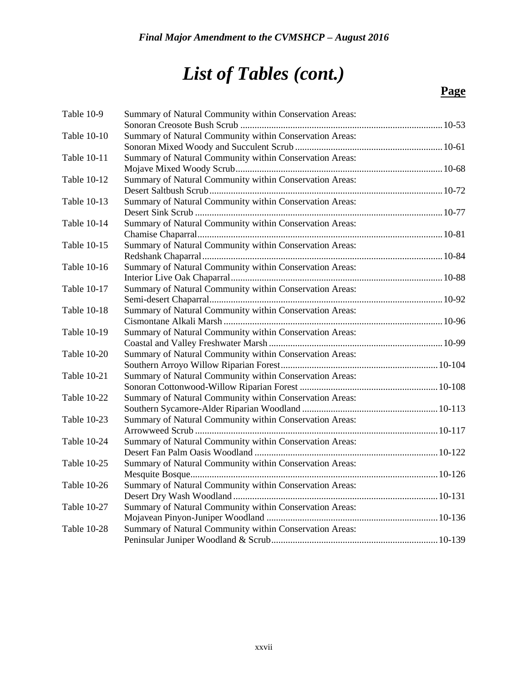| Table 10-9         | Summary of Natural Community within Conservation Areas: |  |
|--------------------|---------------------------------------------------------|--|
|                    |                                                         |  |
| Table 10-10        | Summary of Natural Community within Conservation Areas: |  |
|                    |                                                         |  |
| Table 10-11        | Summary of Natural Community within Conservation Areas: |  |
|                    |                                                         |  |
| Table 10-12        | Summary of Natural Community within Conservation Areas: |  |
|                    |                                                         |  |
| Table 10-13        | Summary of Natural Community within Conservation Areas: |  |
|                    |                                                         |  |
| Table 10-14        | Summary of Natural Community within Conservation Areas: |  |
|                    |                                                         |  |
| Table 10-15        | Summary of Natural Community within Conservation Areas: |  |
|                    |                                                         |  |
| Table 10-16        | Summary of Natural Community within Conservation Areas: |  |
|                    |                                                         |  |
| Table 10-17        | Summary of Natural Community within Conservation Areas: |  |
|                    |                                                         |  |
| Table 10-18        | Summary of Natural Community within Conservation Areas: |  |
|                    |                                                         |  |
| Table 10-19        | Summary of Natural Community within Conservation Areas: |  |
| <b>Table 10-20</b> | Summary of Natural Community within Conservation Areas: |  |
|                    |                                                         |  |
| <b>Table 10-21</b> | Summary of Natural Community within Conservation Areas: |  |
|                    |                                                         |  |
| <b>Table 10-22</b> | Summary of Natural Community within Conservation Areas: |  |
|                    |                                                         |  |
| Table 10-23        | Summary of Natural Community within Conservation Areas: |  |
|                    |                                                         |  |
| Table 10-24        | Summary of Natural Community within Conservation Areas: |  |
|                    |                                                         |  |
| Table 10-25        | Summary of Natural Community within Conservation Areas: |  |
|                    |                                                         |  |
| Table 10-26        | Summary of Natural Community within Conservation Areas: |  |
|                    |                                                         |  |
| Table 10-27        | Summary of Natural Community within Conservation Areas: |  |
|                    |                                                         |  |
| <b>Table 10-28</b> | Summary of Natural Community within Conservation Areas: |  |
|                    |                                                         |  |